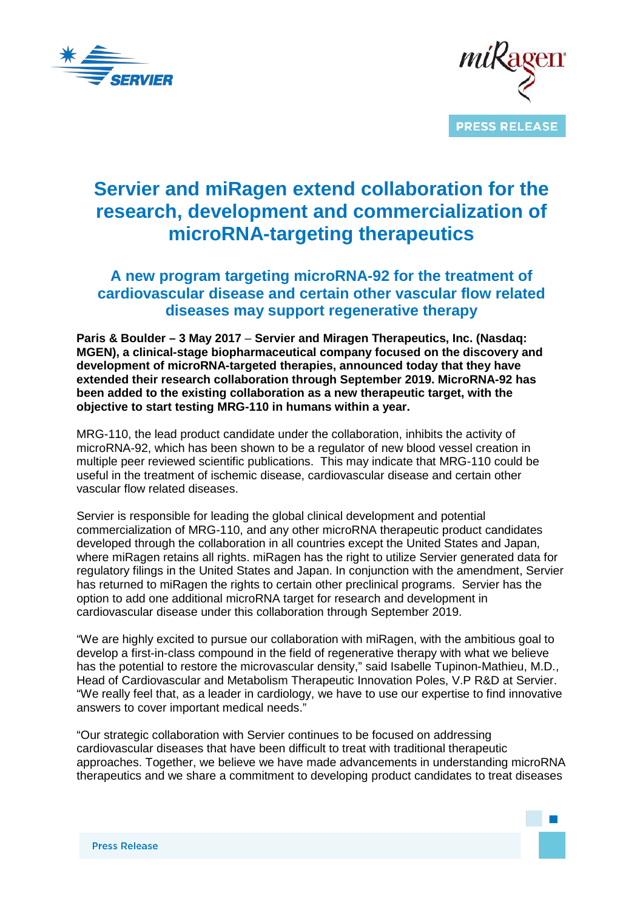



# **Servier and miRagen extend collaboration for the research, development and commercialization of microRNA-targeting therapeutics**

## **A new program targeting microRNA-92 for the treatment of cardiovascular disease and certain other vascular flow related diseases may support regenerative therapy**

**Paris & Boulder – 3 May 2017** – **Servier and Miragen Therapeutics, Inc. (Nasdaq: MGEN), a clinical-stage biopharmaceutical company focused on the discovery and development of microRNA-targeted therapies, announced today that they have extended their research collaboration through September 2019. MicroRNA-92 has been added to the existing collaboration as a new therapeutic target, with the objective to start testing MRG-110 in humans within a year.**

MRG-110, the lead product candidate under the collaboration, inhibits the activity of microRNA-92, which has been shown to be a regulator of new blood vessel creation in multiple peer reviewed scientific publications. This may indicate that MRG-110 could be useful in the treatment of ischemic disease, cardiovascular disease and certain other vascular flow related diseases.

Servier is responsible for leading the global clinical development and potential commercialization of MRG-110, and any other microRNA therapeutic product candidates developed through the collaboration in all countries except the United States and Japan, where miRagen retains all rights. miRagen has the right to utilize Servier generated data for regulatory filings in the United States and Japan. In conjunction with the amendment, Servier has returned to miRagen the rights to certain other preclinical programs. Servier has the option to add one additional microRNA target for research and development in cardiovascular disease under this collaboration through September 2019.

"We are highly excited to pursue our collaboration with miRagen, with the ambitious goal to develop a first-in-class compound in the field of regenerative therapy with what we believe has the potential to restore the microvascular density," said Isabelle Tupinon-Mathieu, M.D., Head of Cardiovascular and Metabolism Therapeutic Innovation Poles, V.P R&D at Servier. "We really feel that, as a leader in cardiology, we have to use our expertise to find innovative answers to cover important medical needs."

"Our strategic collaboration with Servier continues to be focused on addressing cardiovascular diseases that have been difficult to treat with traditional therapeutic approaches. Together, we believe we have made advancements in understanding microRNA therapeutics and we share a commitment to developing product candidates to treat diseases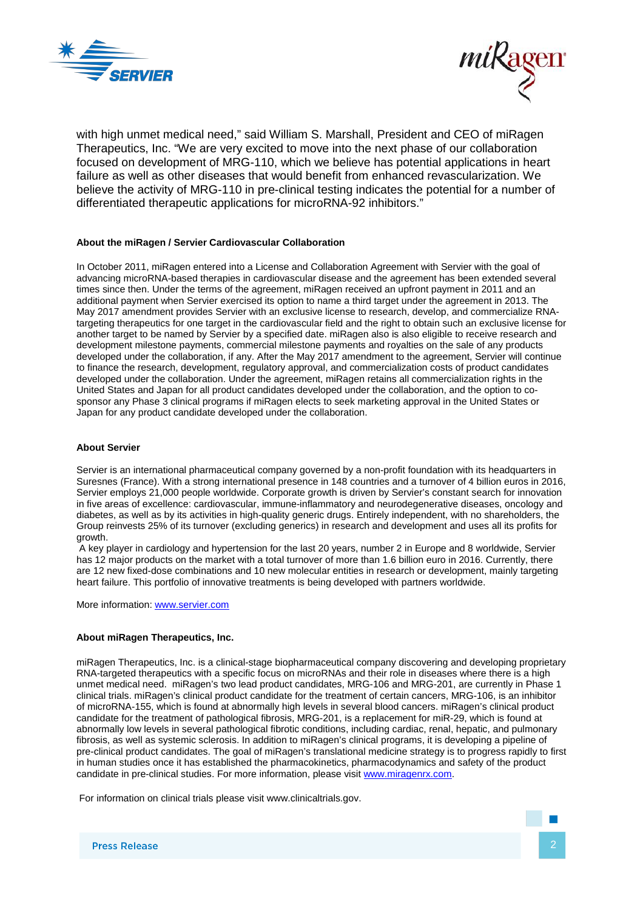



with high unmet medical need," said William S. Marshall, President and CEO of miRagen Therapeutics, Inc. "We are very excited to move into the next phase of our collaboration focused on development of MRG-110, which we believe has potential applications in heart failure as well as other diseases that would benefit from enhanced revascularization. We believe the activity of MRG-110 in pre-clinical testing indicates the potential for a number of differentiated therapeutic applications for microRNA-92 inhibitors."

#### **About the miRagen / Servier Cardiovascular Collaboration**

In October 2011, miRagen entered into a License and Collaboration Agreement with Servier with the goal of advancing microRNA-based therapies in cardiovascular disease and the agreement has been extended several times since then. Under the terms of the agreement, miRagen received an upfront payment in 2011 and an additional payment when Servier exercised its option to name a third target under the agreement in 2013. The May 2017 amendment provides Servier with an exclusive license to research, develop, and commercialize RNAtargeting therapeutics for one target in the cardiovascular field and the right to obtain such an exclusive license for another target to be named by Servier by a specified date. miRagen also is also eligible to receive research and development milestone payments, commercial milestone payments and royalties on the sale of any products developed under the collaboration, if any. After the May 2017 amendment to the agreement, Servier will continue to finance the research, development, regulatory approval, and commercialization costs of product candidates developed under the collaboration. Under the agreement, miRagen retains all commercialization rights in the United States and Japan for all product candidates developed under the collaboration, and the option to cosponsor any Phase 3 clinical programs if miRagen elects to seek marketing approval in the United States or Japan for any product candidate developed under the collaboration.

#### **About Servier**

Servier is an international pharmaceutical company governed by a non-profit foundation with its headquarters in Suresnes (France). With a strong international presence in 148 countries and a turnover of 4 billion euros in 2016, Servier employs 21,000 people worldwide. Corporate growth is driven by Servier's constant search for innovation in five areas of excellence: cardiovascular, immune-inflammatory and neurodegenerative diseases, oncology and diabetes, as well as by its activities in high-quality generic drugs. Entirely independent, with no shareholders, the Group reinvests 25% of its turnover (excluding generics) in research and development and uses all its profits for growth.

A key player in cardiology and hypertension for the last 20 years, number 2 in Europe and 8 worldwide, Servier has 12 major products on the market with a total turnover of more than 1.6 billion euro in 2016. Currently, there are 12 new fixed-dose combinations and 10 new molecular entities in research or development, mainly targeting heart failure. This portfolio of innovative treatments is being developed with partners worldwide.

More information: [www.servier.com](http://www.servier.com/)

#### **About miRagen Therapeutics, Inc.**

miRagen Therapeutics, Inc. is a clinical-stage biopharmaceutical company discovering and developing proprietary RNA-targeted therapeutics with a specific focus on microRNAs and their role in diseases where there is a high unmet medical need. miRagen's two lead product candidates, MRG-106 and MRG-201, are currently in Phase 1 clinical trials. miRagen's clinical product candidate for the treatment of certain cancers, MRG-106, is an inhibitor of microRNA-155, which is found at abnormally high levels in several blood cancers. miRagen's clinical product candidate for the treatment of pathological fibrosis, MRG-201, is a replacement for miR-29, which is found at abnormally low levels in several pathological fibrotic conditions, including cardiac, renal, hepatic, and pulmonary fibrosis, as well as systemic sclerosis. In addition to miRagen's clinical programs, it is developing a pipeline of pre-clinical product candidates. The goal of miRagen's translational medicine strategy is to progress rapidly to first in human studies once it has established the pharmacokinetics, pharmacodynamics and safety of the product candidate in pre-clinical studies. For more information, please visi[t www.miragenrx.com.](http://www.miragenrx.com/)

For information on clinical trials please visit [www.clinicaltrials.gov.](http://www.clinicaltrials.gov/)